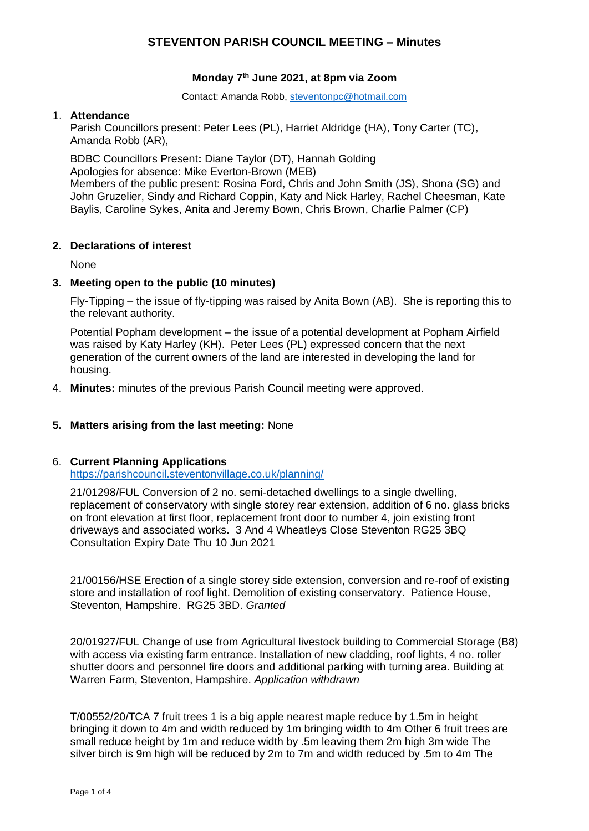# **Monday 7th June 2021, at 8pm via Zoom**

Contact: Amanda Robb, [steventonpc@hotmail.com](mailto:steventonpc@hotmail.com)

#### 1. **Attendance**

Parish Councillors present: Peter Lees (PL), Harriet Aldridge (HA), Tony Carter (TC), Amanda Robb (AR),

BDBC Councillors Present**:** Diane Taylor (DT), Hannah Golding Apologies for absence: Mike Everton-Brown (MEB) Members of the public present: Rosina Ford, Chris and John Smith (JS), Shona (SG) and John Gruzelier, Sindy and Richard Coppin, Katy and Nick Harley, Rachel Cheesman, Kate Baylis, Caroline Sykes, Anita and Jeremy Bown, Chris Brown, Charlie Palmer (CP)

## **2. Declarations of interest**

None

### **3. Meeting open to the public (10 minutes)**

Fly-Tipping – the issue of fly-tipping was raised by Anita Bown (AB). She is reporting this to the relevant authority.

Potential Popham development – the issue of a potential development at Popham Airfield was raised by Katy Harley (KH). Peter Lees (PL) expressed concern that the next generation of the current owners of the land are interested in developing the land for housing.

4. **Minutes:** minutes of the previous Parish Council meeting were approved.

## **5. Matters arising from the last meeting:** None

## 6. **Current Planning Applications**

<https://parishcouncil.steventonvillage.co.uk/planning/>

21/01298/FUL Conversion of 2 no. semi-detached dwellings to a single dwelling, replacement of conservatory with single storey rear extension, addition of 6 no. glass bricks on front elevation at first floor, replacement front door to number 4, join existing front driveways and associated works. 3 And 4 Wheatleys Close Steventon RG25 3BQ Consultation Expiry Date Thu 10 Jun 2021

21/00156/HSE Erection of a single storey side extension, conversion and re-roof of existing store and installation of roof light. Demolition of existing conservatory. Patience House, Steventon, Hampshire. RG25 3BD. *Granted*

20/01927/FUL Change of use from Agricultural livestock building to Commercial Storage (B8) with access via existing farm entrance. Installation of new cladding, roof lights, 4 no. roller shutter doors and personnel fire doors and additional parking with turning area. Building at Warren Farm, Steventon, Hampshire. *Application withdrawn*

T/00552/20/TCA 7 fruit trees 1 is a big apple nearest maple reduce by 1.5m in height bringing it down to 4m and width reduced by 1m bringing width to 4m Other 6 fruit trees are small reduce height by 1m and reduce width by .5m leaving them 2m high 3m wide The silver birch is 9m high will be reduced by 2m to 7m and width reduced by .5m to 4m The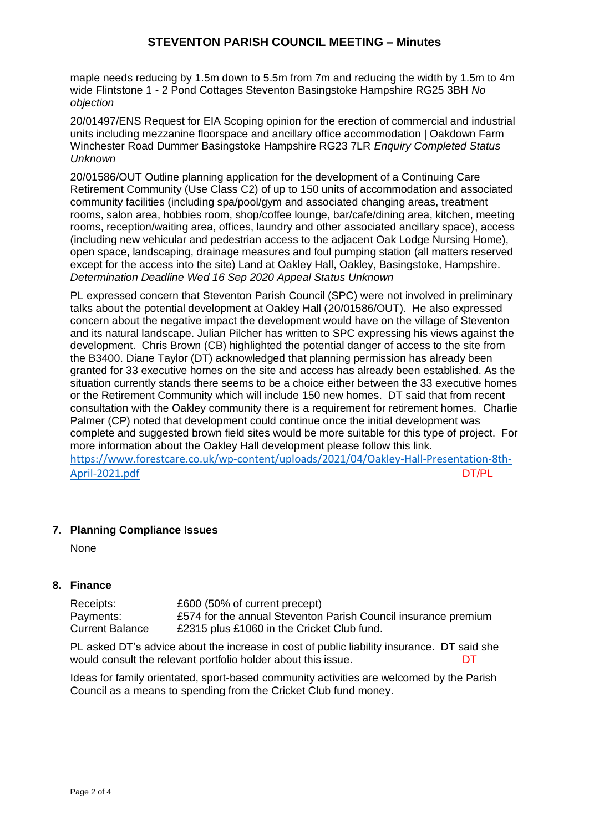maple needs reducing by 1.5m down to 5.5m from 7m and reducing the width by 1.5m to 4m wide Flintstone 1 - 2 Pond Cottages Steventon Basingstoke Hampshire RG25 3BH *No objection*

20/01497/ENS Request for EIA Scoping opinion for the erection of commercial and industrial units including mezzanine floorspace and ancillary office accommodation | Oakdown Farm Winchester Road Dummer Basingstoke Hampshire RG23 7LR *Enquiry Completed Status Unknown*

20/01586/OUT Outline planning application for the development of a Continuing Care Retirement Community (Use Class C2) of up to 150 units of accommodation and associated community facilities (including spa/pool/gym and associated changing areas, treatment rooms, salon area, hobbies room, shop/coffee lounge, bar/cafe/dining area, kitchen, meeting rooms, reception/waiting area, offices, laundry and other associated ancillary space), access (including new vehicular and pedestrian access to the adjacent Oak Lodge Nursing Home), open space, landscaping, drainage measures and foul pumping station (all matters reserved except for the access into the site) Land at Oakley Hall, Oakley, Basingstoke, Hampshire. *Determination Deadline Wed 16 Sep 2020 Appeal Status Unknown*

PL expressed concern that Steventon Parish Council (SPC) were not involved in preliminary talks about the potential development at Oakley Hall (20/01586/OUT). He also expressed concern about the negative impact the development would have on the village of Steventon and its natural landscape. Julian Pilcher has written to SPC expressing his views against the development. Chris Brown (CB) highlighted the potential danger of access to the site from the B3400. Diane Taylor (DT) acknowledged that planning permission has already been granted for 33 executive homes on the site and access has already been established. As the situation currently stands there seems to be a choice either between the 33 executive homes or the Retirement Community which will include 150 new homes. DT said that from recent consultation with the Oakley community there is a requirement for retirement homes. Charlie Palmer (CP) noted that development could continue once the initial development was complete and suggested brown field sites would be more suitable for this type of project. For more information about the Oakley Hall development please follow this link. [https://www.forestcare.co.uk/wp-content/uploads/2021/04/Oakley-Hall-Presentation-8th-](https://www.forestcare.co.uk/wp-content/uploads/2021/04/Oakley-Hall-Presentation-8th-April-2021.pdf)[April-2021.pdf](https://www.forestcare.co.uk/wp-content/uploads/2021/04/Oakley-Hall-Presentation-8th-April-2021.pdf) DT/PL

## **7. Planning Compliance Issues**

None

**8. Finance**

| Receipts:              | £600 (50% of current precept)                                  |
|------------------------|----------------------------------------------------------------|
| Payments:              | £574 for the annual Steventon Parish Council insurance premium |
| <b>Current Balance</b> | £2315 plus £1060 in the Cricket Club fund.                     |

PL asked DT's advice about the increase in cost of public liability insurance. DT said she would consult the relevant portfolio holder about this issue.  $DT$ 

Ideas for family orientated, sport-based community activities are welcomed by the Parish Council as a means to spending from the Cricket Club fund money.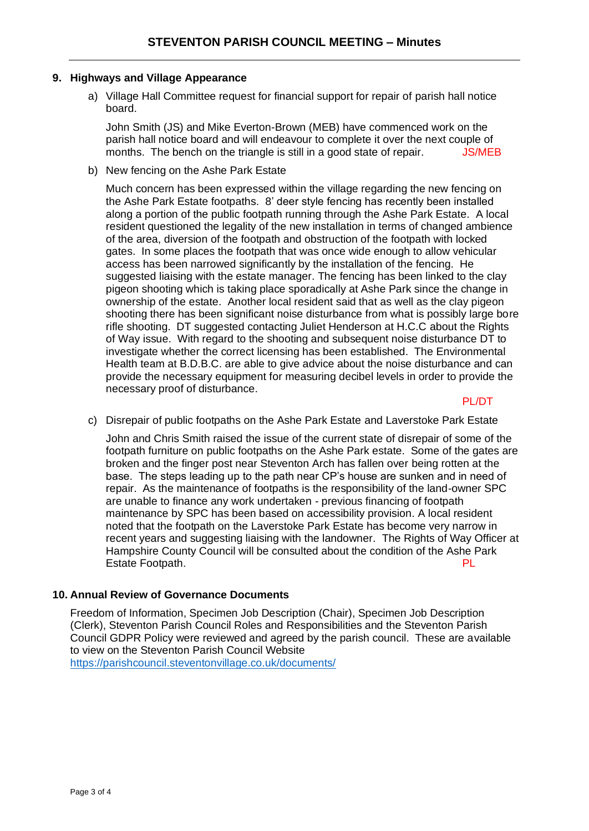### **9. Highways and Village Appearance**

a) Village Hall Committee request for financial support for repair of parish hall notice board.

John Smith (JS) and Mike Everton-Brown (MEB) have commenced work on the parish hall notice board and will endeavour to complete it over the next couple of months. The bench on the triangle is still in a good state of repair. **JS/MEB** 

b) New fencing on the Ashe Park Estate

Much concern has been expressed within the village regarding the new fencing on the Ashe Park Estate footpaths. 8' deer style fencing has recently been installed along a portion of the public footpath running through the Ashe Park Estate. A local resident questioned the legality of the new installation in terms of changed ambience of the area, diversion of the footpath and obstruction of the footpath with locked gates. In some places the footpath that was once wide enough to allow vehicular access has been narrowed significantly by the installation of the fencing. He suggested liaising with the estate manager. The fencing has been linked to the clay pigeon shooting which is taking place sporadically at Ashe Park since the change in ownership of the estate. Another local resident said that as well as the clay pigeon shooting there has been significant noise disturbance from what is possibly large bore rifle shooting. DT suggested contacting Juliet Henderson at H.C.C about the Rights of Way issue. With regard to the shooting and subsequent noise disturbance DT to investigate whether the correct licensing has been established. The Environmental Health team at B.D.B.C. are able to give advice about the noise disturbance and can provide the necessary equipment for measuring decibel levels in order to provide the necessary proof of disturbance.

PL/DT

c) Disrepair of public footpaths on the Ashe Park Estate and Laverstoke Park Estate

John and Chris Smith raised the issue of the current state of disrepair of some of the footpath furniture on public footpaths on the Ashe Park estate. Some of the gates are broken and the finger post near Steventon Arch has fallen over being rotten at the base. The steps leading up to the path near CP's house are sunken and in need of repair. As the maintenance of footpaths is the responsibility of the land-owner SPC are unable to finance any work undertaken - previous financing of footpath maintenance by SPC has been based on accessibility provision. A local resident noted that the footpath on the Laverstoke Park Estate has become very narrow in recent years and suggesting liaising with the landowner. The Rights of Way Officer at Hampshire County Council will be consulted about the condition of the Ashe Park Estate Footpath. **PL** 

## **10. Annual Review of Governance Documents**

Freedom of Information, Specimen Job Description (Chair), Specimen Job Description (Clerk), Steventon Parish Council Roles and Responsibilities and the Steventon Parish Council GDPR Policy were reviewed and agreed by the parish council. These are available to view on the Steventon Parish Council Website <https://parishcouncil.steventonvillage.co.uk/documents/>